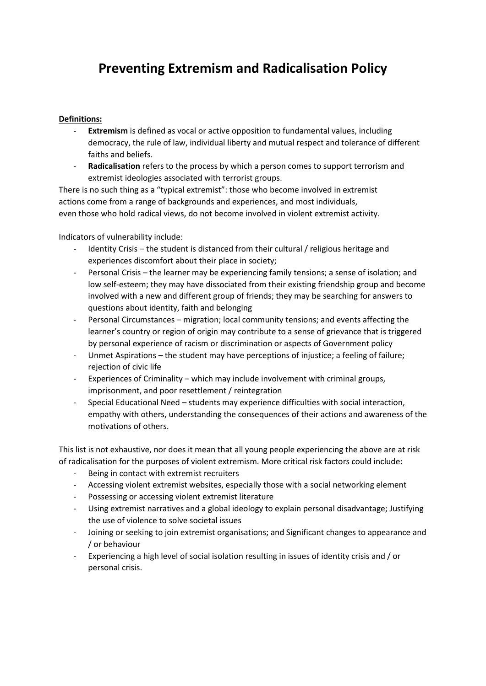## **Preventing Extremism and Radicalisation Policy**

## **Definitions:**

- **Extremism** is defined as vocal or active opposition to fundamental values, including democracy, the rule of law, individual liberty and mutual respect and tolerance of different faiths and beliefs.
- **Radicalisation** refers to the process by which a person comes to support terrorism and extremist ideologies associated with terrorist groups.

There is no such thing as a "typical extremist": those who become involved in extremist actions come from a range of backgrounds and experiences, and most individuals, even those who hold radical views, do not become involved in violent extremist activity.

Indicators of vulnerability include:

- Identity Crisis the student is distanced from their cultural / religious heritage and experiences discomfort about their place in society;
- Personal Crisis the learner may be experiencing family tensions; a sense of isolation; and low self-esteem; they may have dissociated from their existing friendship group and become involved with a new and different group of friends; they may be searching for answers to questions about identity, faith and belonging
- Personal Circumstances migration; local community tensions; and events affecting the learner's country or region of origin may contribute to a sense of grievance that is triggered by personal experience of racism or discrimination or aspects of Government policy
- Unmet Aspirations the student may have perceptions of injustice; a feeling of failure; rejection of civic life
- Experiences of Criminality which may include involvement with criminal groups, imprisonment, and poor resettlement / reintegration
- Special Educational Need students may experience difficulties with social interaction, empathy with others, understanding the consequences of their actions and awareness of the motivations of others.

This list is not exhaustive, nor does it mean that all young people experiencing the above are at risk of radicalisation for the purposes of violent extremism. More critical risk factors could include:

- Being in contact with extremist recruiters
- Accessing violent extremist websites, especially those with a social networking element
- Possessing or accessing violent extremist literature
- Using extremist narratives and a global ideology to explain personal disadvantage; Justifying the use of violence to solve societal issues
- Joining or seeking to join extremist organisations; and Significant changes to appearance and / or behaviour
- Experiencing a high level of social isolation resulting in issues of identity crisis and / or personal crisis.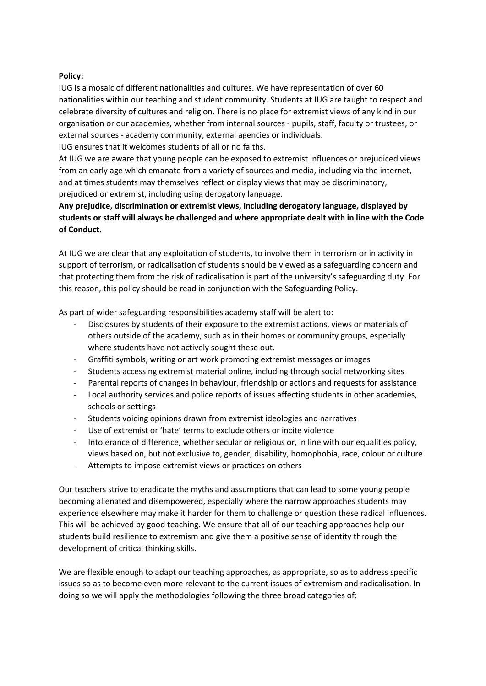## **Policy:**

IUG is a mosaic of different nationalities and cultures. We have representation of over 60 nationalities within our teaching and student community. Students at IUG are taught to respect and celebrate diversity of cultures and religion. There is no place for extremist views of any kind in our organisation or our academies, whether from internal sources - pupils, staff, faculty or trustees, or external sources - academy community, external agencies or individuals.

IUG ensures that it welcomes students of all or no faiths.

At IUG we are aware that young people can be exposed to extremist influences or prejudiced views from an early age which emanate from a variety of sources and media, including via the internet, and at times students may themselves reflect or display views that may be discriminatory, prejudiced or extremist, including using derogatory language.

**Any prejudice, discrimination or extremist views, including derogatory language, displayed by students or staff will always be challenged and where appropriate dealt with in line with the Code of Conduct.**

At IUG we are clear that any exploitation of students, to involve them in terrorism or in activity in support of terrorism, or radicalisation of students should be viewed as a safeguarding concern and that protecting them from the risk of radicalisation is part of the university's safeguarding duty. For this reason, this policy should be read in conjunction with the Safeguarding Policy.

As part of wider safeguarding responsibilities academy staff will be alert to:

- Disclosures by students of their exposure to the extremist actions, views or materials of others outside of the academy, such as in their homes or community groups, especially where students have not actively sought these out.
- Graffiti symbols, writing or art work promoting extremist messages or images
- Students accessing extremist material online, including through social networking sites
- Parental reports of changes in behaviour, friendship or actions and requests for assistance
- Local authority services and police reports of issues affecting students in other academies, schools or settings
- Students voicing opinions drawn from extremist ideologies and narratives
- Use of extremist or 'hate' terms to exclude others or incite violence
- Intolerance of difference, whether secular or religious or, in line with our equalities policy, views based on, but not exclusive to, gender, disability, homophobia, race, colour or culture
- Attempts to impose extremist views or practices on others

Our teachers strive to eradicate the myths and assumptions that can lead to some young people becoming alienated and disempowered, especially where the narrow approaches students may experience elsewhere may make it harder for them to challenge or question these radical influences. This will be achieved by good teaching. We ensure that all of our teaching approaches help our students build resilience to extremism and give them a positive sense of identity through the development of critical thinking skills.

We are flexible enough to adapt our teaching approaches, as appropriate, so as to address specific issues so as to become even more relevant to the current issues of extremism and radicalisation. In doing so we will apply the methodologies following the three broad categories of: